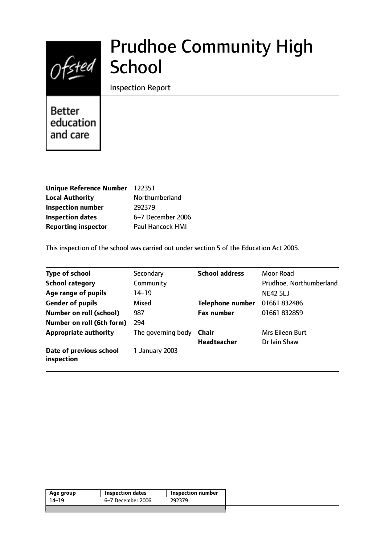

# Prudhoe Community High

Inspection Report

**Better** education and care

| Unique Reference Number 122351 |                   |
|--------------------------------|-------------------|
| <b>Local Authority</b>         | Northumberland    |
| <b>Inspection number</b>       | 292379            |
| <b>Inspection dates</b>        | 6-7 December 2006 |
| <b>Reporting inspector</b>     | Paul Hancock HMI  |

This inspection of the school was carried out under section 5 of the Education Act 2005.

| <b>Type of school</b>                 | Secondary          | <b>School address</b>   | Moor Road               |
|---------------------------------------|--------------------|-------------------------|-------------------------|
| <b>School category</b>                | Community          |                         | Prudhoe, Northumberland |
| Age range of pupils                   | 14–19              |                         | <b>NE42 5LJ</b>         |
| <b>Gender of pupils</b>               | Mixed              | <b>Telephone number</b> | 01661 832486            |
| <b>Number on roll (school)</b>        | 987                | <b>Fax number</b>       | 01661 832859            |
| Number on roll (6th form)             | 294                |                         |                         |
| <b>Appropriate authority</b>          | The governing body | Chair                   | Mrs Eileen Burt         |
|                                       |                    | <b>Headteacher</b>      | Dr Iain Shaw            |
| Date of previous school<br>inspection | 1 January 2003     |                         |                         |

| 6–7 December 2006<br>292379<br>14–19 | Age group | <b>Inspection dates</b> | Inspection number |  |
|--------------------------------------|-----------|-------------------------|-------------------|--|
|                                      |           |                         |                   |  |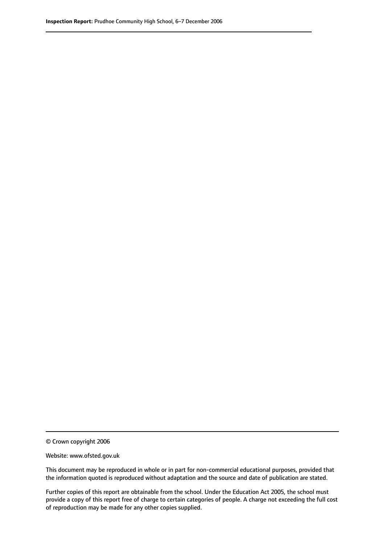© Crown copyright 2006

Website: www.ofsted.gov.uk

This document may be reproduced in whole or in part for non-commercial educational purposes, provided that the information quoted is reproduced without adaptation and the source and date of publication are stated.

Further copies of this report are obtainable from the school. Under the Education Act 2005, the school must provide a copy of this report free of charge to certain categories of people. A charge not exceeding the full cost of reproduction may be made for any other copies supplied.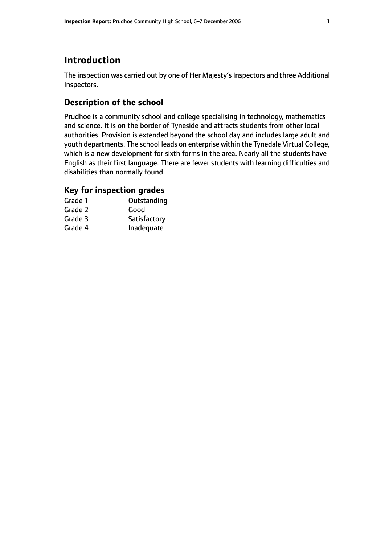# **Introduction**

The inspection was carried out by one of Her Majesty's Inspectors and three Additional Inspectors.

## **Description of the school**

Prudhoe is a community school and college specialising in technology, mathematics and science. It is on the border of Tyneside and attracts students from other local authorities. Provision is extended beyond the school day and includes large adult and youth departments. The school leads on enterprise within the Tynedale Virtual College, which is a new development for sixth forms in the area. Nearly all the students have English as their first language. There are fewer students with learning difficulties and disabilities than normally found.

## **Key for inspection grades**

| Grade 1 | Outstanding  |
|---------|--------------|
| Grade 2 | Good         |
| Grade 3 | Satisfactory |
| Grade 4 | Inadequate   |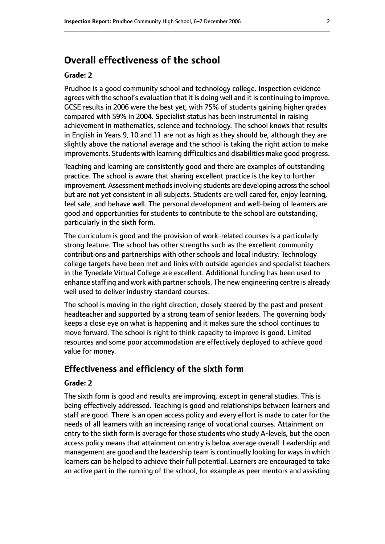# **Overall effectiveness of the school**

#### **Grade: 2**

Prudhoe is a good community school and technology college. Inspection evidence agrees with the school's evaluation that it is doing well and it is continuing to improve. GCSE results in 2006 were the best yet, with 75% of students gaining higher grades compared with 59% in 2004. Specialist status has been instrumental in raising achievement in mathematics, science and technology. The school knows that results in English in Years 9, 10 and 11 are not as high as they should be, although they are slightly above the national average and the school is taking the right action to make improvements. Students with learning difficulties and disabilities make good progress.

Teaching and learning are consistently good and there are examples of outstanding practice. The school is aware that sharing excellent practice is the key to further improvement. Assessment methods involving students are developing across the school but are not yet consistent in all subjects. Students are well cared for, enjoy learning, feel safe, and behave well. The personal development and well-being of learners are good and opportunities for students to contribute to the school are outstanding, particularly in the sixth form.

The curriculum is good and the provision of work-related courses is a particularly strong feature. The school has other strengths such as the excellent community contributions and partnerships with other schools and local industry. Technology college targets have been met and links with outside agencies and specialist teachers in the Tynedale Virtual College are excellent. Additional funding has been used to enhance staffing and work with partner schools. The new engineering centre is already well used to deliver industry standard courses.

The school is moving in the right direction, closely steered by the past and present headteacher and supported by a strong team of senior leaders. The governing body keeps a close eye on what is happening and it makes sure the school continues to move forward. The school is right to think capacity to improve is good. Limited resources and some poor accommodation are effectively deployed to achieve good value for money.

#### **Effectiveness and efficiency of the sixth form**

#### **Grade: 2**

The sixth form is good and results are improving, except in general studies. This is being effectively addressed. Teaching is good and relationships between learners and staff are good. There is an open access policy and every effort is made to cater for the needs of all learners with an increasing range of vocational courses. Attainment on entry to the sixth form is average for those students who study A-levels, but the open access policy means that attainment on entry is below average overall. Leadership and management are good and the leadership team is continually looking for waysin which learners can be helped to achieve their full potential. Learners are encouraged to take an active part in the running of the school, for example as peer mentors and assisting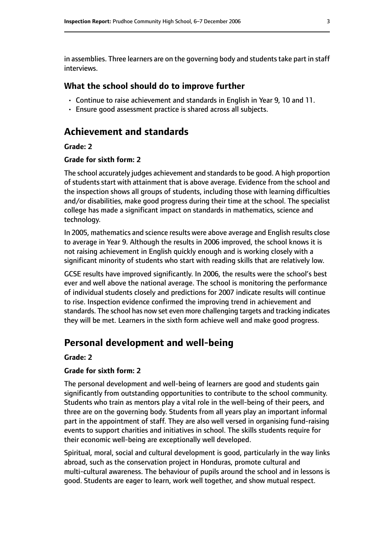in assemblies. Three learners are on the governing body and students take part in staff interviews.

#### **What the school should do to improve further**

- Continue to raise achievement and standards in English in Year 9, 10 and 11.
- Ensure good assessment practice is shared across all subjects.

# **Achievement and standards**

#### **Grade: 2**

#### **Grade for sixth form: 2**

The school accurately judges achievement and standards to be good. A high proportion of students start with attainment that is above average. Evidence from the school and the inspection shows all groups of students, including those with learning difficulties and/or disabilities, make good progress during their time at the school. The specialist college has made a significant impact on standards in mathematics, science and technology.

In 2005, mathematics and science results were above average and English results close to average in Year 9. Although the results in 2006 improved, the school knows it is not raising achievement in English quickly enough and is working closely with a significant minority of students who start with reading skills that are relatively low.

GCSE results have improved significantly. In 2006, the results were the school's best ever and well above the national average. The school is monitoring the performance of individual students closely and predictions for 2007 indicate results will continue to rise. Inspection evidence confirmed the improving trend in achievement and standards. The school has now set even more challenging targets and tracking indicates they will be met. Learners in the sixth form achieve well and make good progress.

## **Personal development and well-being**

#### **Grade: 2**

#### **Grade for sixth form: 2**

The personal development and well-being of learners are good and students gain significantly from outstanding opportunities to contribute to the school community. Students who train as mentors play a vital role in the well-being of their peers, and three are on the governing body. Students from all years play an important informal part in the appointment of staff. They are also well versed in organising fund-raising events to support charities and initiatives in school. The skills students require for their economic well-being are exceptionally well developed.

Spiritual, moral, social and cultural development is good, particularly in the way links abroad, such as the conservation project in Honduras, promote cultural and multi-cultural awareness. The behaviour of pupils around the school and in lessons is good. Students are eager to learn, work well together, and show mutual respect.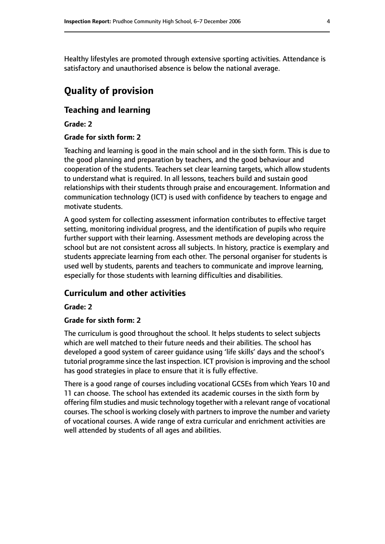Healthy lifestyles are promoted through extensive sporting activities. Attendance is satisfactory and unauthorised absence is below the national average.

# **Quality of provision**

#### **Teaching and learning**

**Grade: 2**

#### **Grade for sixth form: 2**

Teaching and learning is good in the main school and in the sixth form. This is due to the good planning and preparation by teachers, and the good behaviour and cooperation of the students. Teachers set clear learning targets, which allow students to understand what is required. In all lessons, teachers build and sustain good relationships with their students through praise and encouragement. Information and communication technology (ICT) is used with confidence by teachers to engage and motivate students.

A good system for collecting assessment information contributes to effective target setting, monitoring individual progress, and the identification of pupils who require further support with their learning. Assessment methods are developing across the school but are not consistent across all subjects. In history, practice is exemplary and students appreciate learning from each other. The personal organiser for students is used well by students, parents and teachers to communicate and improve learning, especially for those students with learning difficulties and disabilities.

### **Curriculum and other activities**

#### **Grade: 2**

#### **Grade for sixth form: 2**

The curriculum is good throughout the school. It helps students to select subjects which are well matched to their future needs and their abilities. The school has developed a good system of career guidance using 'life skills' days and the school's tutorial programme since the last inspection. ICT provision is improving and the school has good strategies in place to ensure that it is fully effective.

There is a good range of courses including vocational GCSEs from which Years 10 and 11 can choose. The school has extended its academic courses in the sixth form by offering film studies and music technology together with a relevant range of vocational courses. The school is working closely with partners to improve the number and variety of vocational courses. A wide range of extra curricular and enrichment activities are well attended by students of all ages and abilities.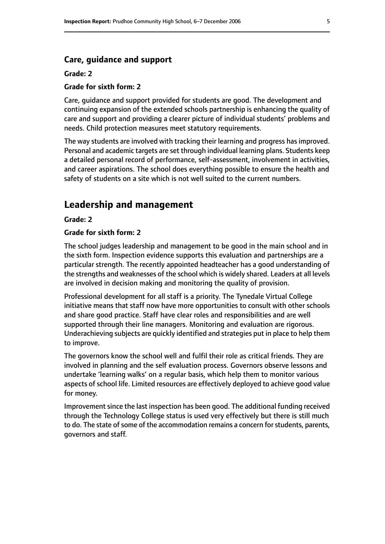#### **Care, guidance and support**

#### **Grade: 2**

#### **Grade for sixth form: 2**

Care, guidance and support provided for students are good. The development and continuing expansion of the extended schools partnership is enhancing the quality of care and support and providing a clearer picture of individual students' problems and needs. Child protection measures meet statutory requirements.

The way students are involved with tracking their learning and progress has improved. Personal and academic targets are set through individual learning plans. Students keep a detailed personal record of performance, self-assessment, involvement in activities, and career aspirations. The school does everything possible to ensure the health and safety of students on a site which is not well suited to the current numbers.

#### **Leadership and management**

**Grade: 2**

#### **Grade for sixth form: 2**

The school judges leadership and management to be good in the main school and in the sixth form. Inspection evidence supports this evaluation and partnerships are a particular strength. The recently appointed headteacher has a good understanding of the strengths and weaknesses of the school which is widely shared. Leaders at all levels are involved in decision making and monitoring the quality of provision.

Professional development for all staff is a priority. The Tynedale Virtual College initiative means that staff now have more opportunities to consult with other schools and share good practice. Staff have clear roles and responsibilities and are well supported through their line managers. Monitoring and evaluation are rigorous. Underachieving subjects are quickly identified and strategies put in place to help them to improve.

The governors know the school well and fulfil their role as critical friends. They are involved in planning and the self evaluation process. Governors observe lessons and undertake 'learning walks' on a regular basis, which help them to monitor various aspects of school life. Limited resources are effectively deployed to achieve good value for money.

Improvement since the last inspection has been good. The additional funding received through the Technology College status is used very effectively but there is still much to do. The state of some of the accommodation remains a concern for students, parents, governors and staff.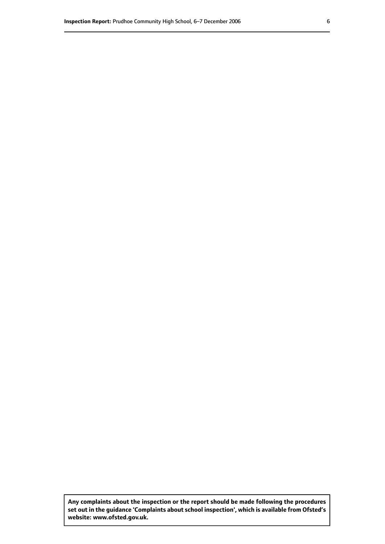**Any complaints about the inspection or the report should be made following the procedures set out inthe guidance 'Complaints about school inspection', whichis available from Ofsted's website: www.ofsted.gov.uk.**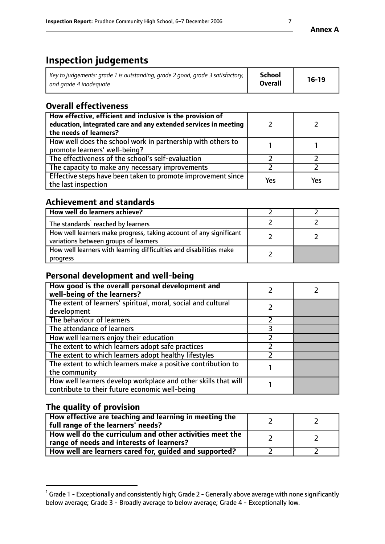# **Inspection judgements**

| $^{\dagger}$ Key to judgements: grade 1 is outstanding, grade 2 good, grade 3 satisfactory, $_{\dagger}$ | School         | $16-19$ |
|----------------------------------------------------------------------------------------------------------|----------------|---------|
| and grade 4 inadeguate                                                                                   | <b>Overall</b> |         |

# **Overall effectiveness**

| How effective, efficient and inclusive is the provision of<br>education, integrated care and any extended services in meeting<br>the needs of learners? |     |     |
|---------------------------------------------------------------------------------------------------------------------------------------------------------|-----|-----|
| How well does the school work in partnership with others to<br>promote learners' well-being?                                                            |     |     |
| The effectiveness of the school's self-evaluation                                                                                                       |     |     |
| The capacity to make any necessary improvements                                                                                                         |     |     |
| Effective steps have been taken to promote improvement since<br>the last inspection                                                                     | Yes | Yes |

# **Achievement and standards**

| How well do learners achieve?                                                                               |  |
|-------------------------------------------------------------------------------------------------------------|--|
| The standards <sup>1</sup> reached by learners                                                              |  |
| How well learners make progress, taking account of any significant<br>variations between groups of learners |  |
| How well learners with learning difficulties and disabilities make<br>progress                              |  |

## **Personal development and well-being**

| How good is the overall personal development and<br>well-being of the learners?                                  |  |
|------------------------------------------------------------------------------------------------------------------|--|
| The extent of learners' spiritual, moral, social and cultural<br>development                                     |  |
| The behaviour of learners                                                                                        |  |
| The attendance of learners                                                                                       |  |
| How well learners enjoy their education                                                                          |  |
| The extent to which learners adopt safe practices                                                                |  |
| The extent to which learners adopt healthy lifestyles                                                            |  |
| The extent to which learners make a positive contribution to<br>the community                                    |  |
| How well learners develop workplace and other skills that will<br>contribute to their future economic well-being |  |

# **The quality of provision**

| How effective are teaching and learning in meeting the<br>full range of the learners' needs?          |  |
|-------------------------------------------------------------------------------------------------------|--|
| How well do the curriculum and other activities meet the<br>range of needs and interests of learners? |  |
| How well are learners cared for, guided and supported?                                                |  |

 $^1$  Grade 1 - Exceptionally and consistently high; Grade 2 - Generally above average with none significantly below average; Grade 3 - Broadly average to below average; Grade 4 - Exceptionally low.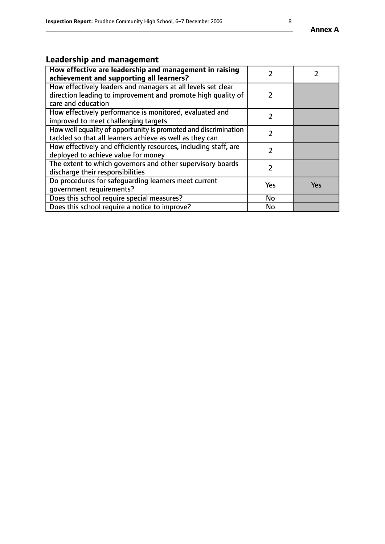# **Leadership and management**

| How effective are leadership and management in raising<br>achievement and supporting all learners?                                                 |     |     |
|----------------------------------------------------------------------------------------------------------------------------------------------------|-----|-----|
| How effectively leaders and managers at all levels set clear<br>direction leading to improvement and promote high quality of<br>care and education |     |     |
| How effectively performance is monitored, evaluated and<br>improved to meet challenging targets                                                    |     |     |
| How well equality of opportunity is promoted and discrimination<br>tackled so that all learners achieve as well as they can                        | 7   |     |
| How effectively and efficiently resources, including staff, are<br>deployed to achieve value for money                                             |     |     |
| The extent to which governors and other supervisory boards<br>discharge their responsibilities                                                     |     |     |
| Do procedures for safequarding learners meet current<br>qovernment requirements?                                                                   | Yes | Yes |
| Does this school require special measures?                                                                                                         | No  |     |
| Does this school require a notice to improve?                                                                                                      | No  |     |

**Annex A**